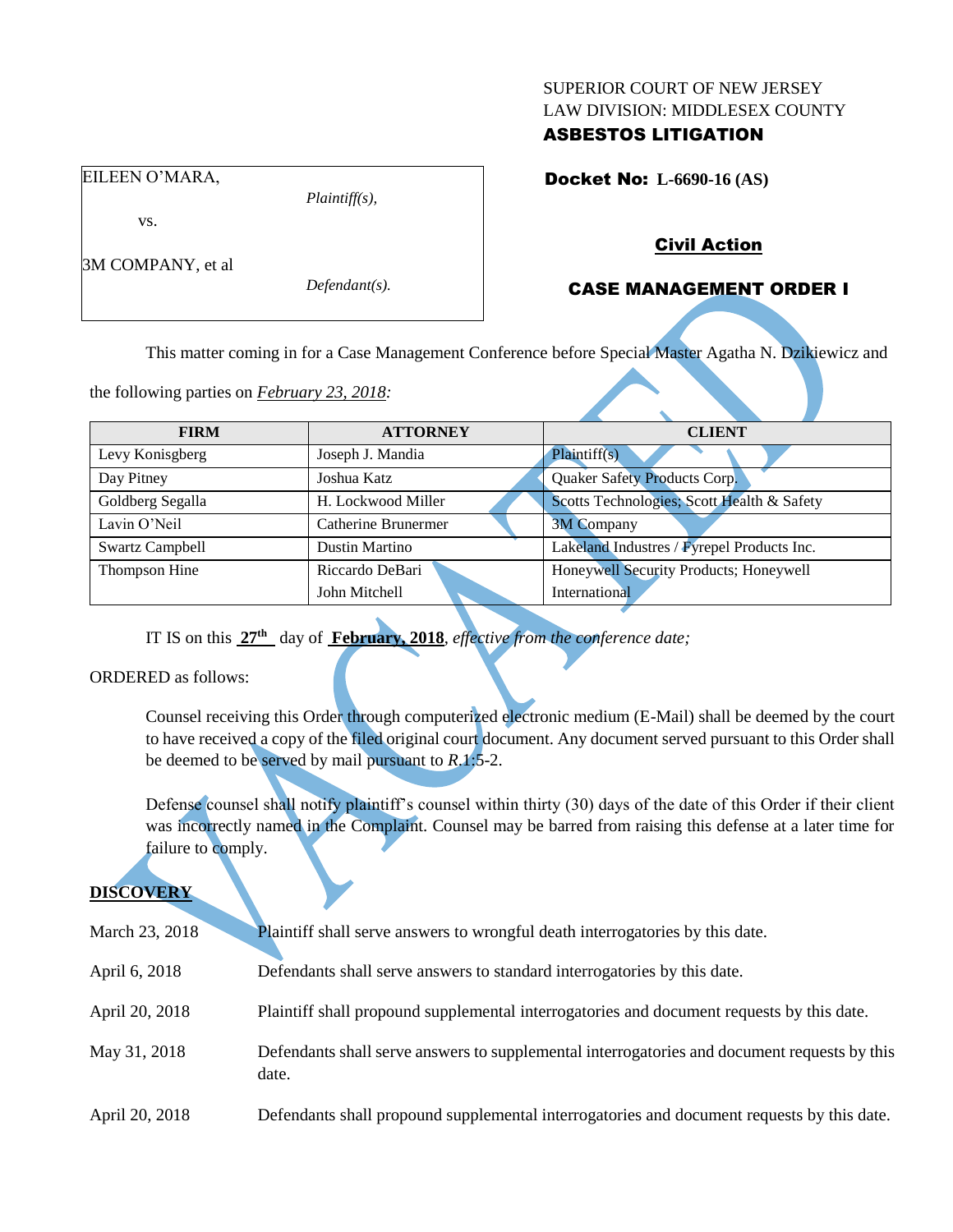#### SUPERIOR COURT OF NEW JERSEY LAW DIVISION: MIDDLESEX COUNTY

## ASBESTOS LITIGATION

Docket No: **L-6690-16 (AS)** 

### vs.

EILEEN O'MARA,

*Plaintiff(s),*

3M COMPANY, et al

*Defendant(s).*

## Civil Action

## CASE MANAGEMENT ORDER I

This matter coming in for a Case Management Conference before Special Master Agatha N. Dzikiewicz and

the following parties on *February 23, 2018:*

| <b>FIRM</b>            | <b>ATTORNEY</b>     | <b>CLIENT</b>                              |
|------------------------|---------------------|--------------------------------------------|
| Levy Konisgberg        | Joseph J. Mandia    | Plaintiff(s)                               |
| Day Pitney             | Joshua Katz         | Quaker Safety Products Corp.               |
| Goldberg Segalla       | H. Lockwood Miller  | Scotts Technologies; Scott Health & Safety |
| Lavin O'Neil           | Catherine Brunermer | <b>3M Company</b>                          |
| <b>Swartz Campbell</b> | Dustin Martino      | Lakeland Industres / Fyrepel Products Inc. |
| Thompson Hine          | Riccardo DeBari     | Honeywell Security Products; Honeywell     |
|                        | John Mitchell       | International                              |

IT IS on this **27th** day of **February, 2018**, *effective from the conference date;*

ORDERED as follows:

Counsel receiving this Order through computerized electronic medium (E-Mail) shall be deemed by the court to have received a copy of the filed original court document. Any document served pursuant to this Order shall be deemed to be served by mail pursuant to *R*.1:5-2.

Defense counsel shall notify plaintiff's counsel within thirty (30) days of the date of this Order if their client was incorrectly named in the Complaint. Counsel may be barred from raising this defense at a later time for failure to comply.

# **DISCOVERY**

| March 23, 2018 | Plaintiff shall serve answers to wrongful death interrogatories by this date.                         |
|----------------|-------------------------------------------------------------------------------------------------------|
| April 6, 2018  | Defendants shall serve answers to standard interrogatories by this date.                              |
| April 20, 2018 | Plaintiff shall propound supplemental interrogatories and document requests by this date.             |
| May 31, 2018   | Defendants shall serve answers to supplemental interrogatories and document requests by this<br>date. |
| April 20, 2018 | Defendants shall propound supplemental interrogatories and document requests by this date.            |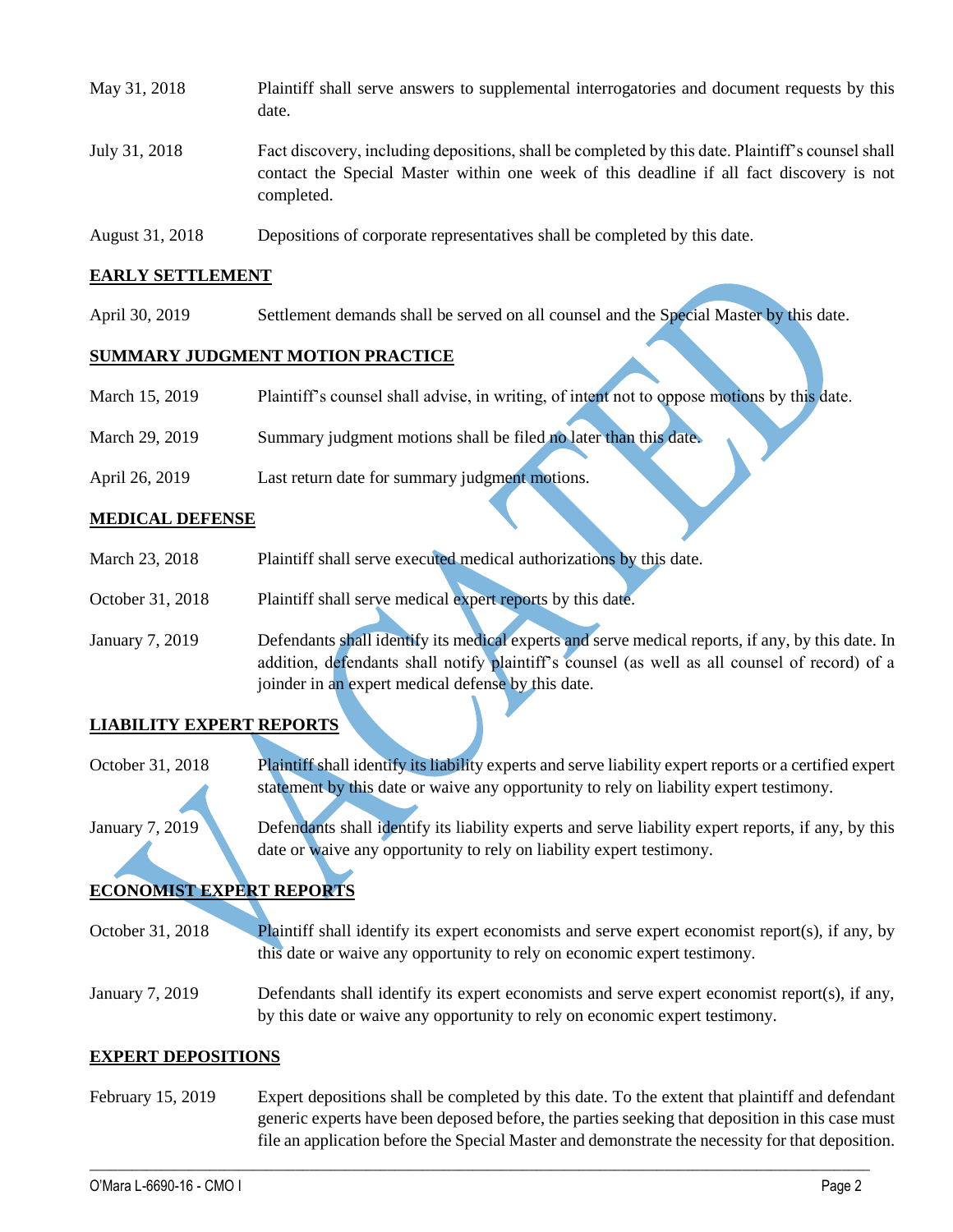| May 31, 2018  | Plaintiff shall serve answers to supplemental interrogatories and document requests by this<br>date.                                                                                                        |
|---------------|-------------------------------------------------------------------------------------------------------------------------------------------------------------------------------------------------------------|
| July 31, 2018 | Fact discovery, including depositions, shall be completed by this date. Plaintiff's counsel shall<br>contact the Special Master within one week of this deadline if all fact discovery is not<br>completed. |

August 31, 2018 Depositions of corporate representatives shall be completed by this date.

#### **EARLY SETTLEMENT**

April 30, 2019 Settlement demands shall be served on all counsel and the Special Master by this date.

### **SUMMARY JUDGMENT MOTION PRACTICE**

| March 15, 2019 | Plaintiff's counsel shall advise, in writing, of intent not to oppose motions by this date. |
|----------------|---------------------------------------------------------------------------------------------|
|                |                                                                                             |
| March 29, 2019 | Summary judgment motions shall be filed no later than this date.                            |
|                |                                                                                             |
| April 26, 2019 | Last return date for summary judgment motions.                                              |

### **MEDICAL DEFENSE**

- March 23, 2018 Plaintiff shall serve executed medical authorizations by this date.
- October 31, 2018 Plaintiff shall serve medical expert reports by this date.
- January 7, 2019 Defendants shall identify its medical experts and serve medical reports, if any, by this date. In addition, defendants shall notify plaintiff's counsel (as well as all counsel of record) of a joinder in an expert medical defense by this date.

### **LIABILITY EXPERT REPORTS**

October 31, 2018 Plaintiff shall identify its liability experts and serve liability expert reports or a certified expert statement by this date or waive any opportunity to rely on liability expert testimony.

January 7, 2019 Defendants shall identify its liability experts and serve liability expert reports, if any, by this date or waive any opportunity to rely on liability expert testimony.

# **ECONOMIST EXPERT REPORTS**

October 31, 2018 Plaintiff shall identify its expert economists and serve expert economist report(s), if any, by this date or waive any opportunity to rely on economic expert testimony.

January 7, 2019 Defendants shall identify its expert economists and serve expert economist report(s), if any, by this date or waive any opportunity to rely on economic expert testimony.

#### **EXPERT DEPOSITIONS**

February 15, 2019 Expert depositions shall be completed by this date. To the extent that plaintiff and defendant generic experts have been deposed before, the parties seeking that deposition in this case must file an application before the Special Master and demonstrate the necessity for that deposition.

 $\_$  ,  $\_$  ,  $\_$  ,  $\_$  ,  $\_$  ,  $\_$  ,  $\_$  ,  $\_$  ,  $\_$  ,  $\_$  ,  $\_$  ,  $\_$  ,  $\_$  ,  $\_$  ,  $\_$  ,  $\_$  ,  $\_$  ,  $\_$  ,  $\_$  ,  $\_$  ,  $\_$  ,  $\_$  ,  $\_$  ,  $\_$  ,  $\_$  ,  $\_$  ,  $\_$  ,  $\_$  ,  $\_$  ,  $\_$  ,  $\_$  ,  $\_$  ,  $\_$  ,  $\_$  ,  $\_$  ,  $\_$  ,  $\_$  ,